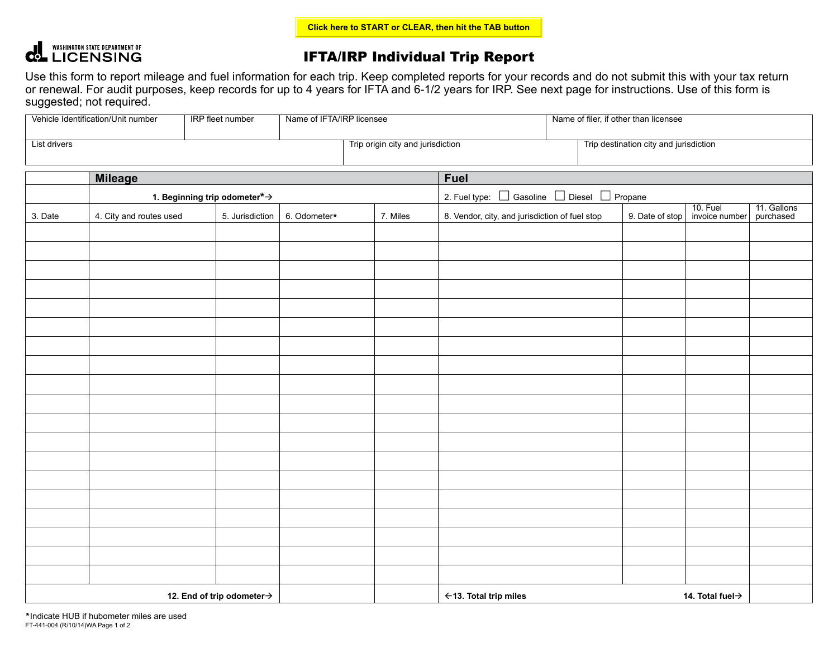## **COLLENSING STATE DEPARTMENT OF**

## IFTA/IRP Individual Trip Report

Use this form to report mileage and fuel information for each trip. Keep completed reports for your records and do not submit this with your tax return or renewal. For audit purposes, keep records for up to 4 years for IFTA and 6-1/2 years for IRP. See next page for instructions. Use of this form is suggested; not required.

| Vehicle Identification/Unit number<br>IRP fleet number |                                                |  | Name of IFTA/IRP licensee |                                   |                                                | Name of filer, if other than licensee                      |                                        |                            |                          |  |
|--------------------------------------------------------|------------------------------------------------|--|---------------------------|-----------------------------------|------------------------------------------------|------------------------------------------------------------|----------------------------------------|----------------------------|--------------------------|--|
| List drivers                                           |                                                |  |                           | Trip origin city and jurisdiction |                                                |                                                            | Trip destination city and jurisdiction |                            |                          |  |
| <b>Mileage</b>                                         |                                                |  |                           | <b>Fuel</b>                       |                                                |                                                            |                                        |                            |                          |  |
|                                                        | 1. Beginning trip odometer $\star \rightarrow$ |  |                           |                                   |                                                | 2. Fuel type: $\Box$ Gasoline $\Box$ Diesel $\Box$ Propane |                                        |                            |                          |  |
| 3. Date                                                | 4. City and routes used                        |  | 6. Odometer*              | 7. Miles                          | 8. Vendor, city, and jurisdiction of fuel stop |                                                            | 9. Date of stop                        | 10. Fuel<br>invoice number | 11. Gallons<br>purchased |  |
|                                                        |                                                |  |                           |                                   |                                                |                                                            |                                        |                            |                          |  |
|                                                        |                                                |  |                           |                                   |                                                |                                                            |                                        |                            |                          |  |
|                                                        |                                                |  |                           |                                   |                                                |                                                            |                                        |                            |                          |  |
|                                                        |                                                |  |                           |                                   |                                                |                                                            |                                        |                            |                          |  |
|                                                        |                                                |  |                           |                                   |                                                |                                                            |                                        |                            |                          |  |
|                                                        |                                                |  |                           |                                   |                                                |                                                            |                                        |                            |                          |  |
|                                                        |                                                |  |                           |                                   |                                                |                                                            |                                        |                            |                          |  |
|                                                        |                                                |  |                           |                                   |                                                |                                                            |                                        |                            |                          |  |
|                                                        |                                                |  |                           |                                   |                                                |                                                            |                                        |                            |                          |  |
|                                                        |                                                |  |                           |                                   |                                                |                                                            |                                        |                            |                          |  |
|                                                        |                                                |  |                           |                                   |                                                |                                                            |                                        |                            |                          |  |
|                                                        |                                                |  |                           |                                   |                                                |                                                            |                                        |                            |                          |  |
|                                                        |                                                |  |                           |                                   |                                                |                                                            |                                        |                            |                          |  |
|                                                        |                                                |  |                           |                                   |                                                |                                                            |                                        |                            |                          |  |
|                                                        |                                                |  |                           |                                   |                                                |                                                            |                                        |                            |                          |  |
|                                                        |                                                |  |                           |                                   |                                                |                                                            |                                        |                            |                          |  |
|                                                        |                                                |  |                           |                                   |                                                |                                                            |                                        |                            |                          |  |
|                                                        |                                                |  |                           |                                   |                                                |                                                            |                                        |                            |                          |  |
|                                                        |                                                |  |                           |                                   |                                                |                                                            |                                        |                            |                          |  |
| 12. End of trip odometer $\rightarrow$                 |                                                |  |                           |                                   | ←13. Total trip miles                          |                                                            |                                        | 14. Total fuel→            |                          |  |